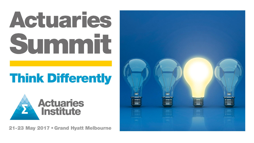# Actuaries Summit

# **Think Differently**



21-23 May 2017 . Grand Hyatt Melbourne

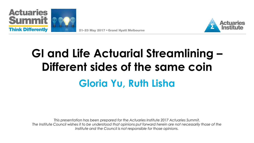





# **GI and Life Actuarial Streamlining – Different sides of the same coin Gloria Yu, Ruth Lisha**

*This presentation has been prepared for the Actuaries Institute 2017 Actuaries Summit. The Institute Council wishes it to be understood that opinions put forward herein are not necessarily those of the Institute and the Council is not responsible for those opinions.*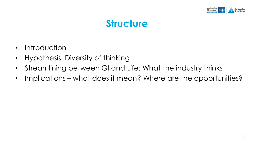

### **Structure**

- Introduction
- Hypothesis: Diversity of thinking
- Streamlining between GI and Life: What the industry thinks
- Implications what does it mean? Where are the opportunities?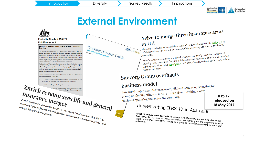

### **External Environment**



#### **Prudential Standard CPS 220**

#### **Risk Management**

#### Objectives and key requirements of this Prudential Standard

This Prudential Standard requires an APRA-regulated institution and a Head of : group to have systems for identifying, measuring, evaluating, monitoring, reporting nd controlling or mitigating material risks that may affect its ability or the ability of a grow it hands to meet its obligations to depositors and/or policyholders. These stems, together with the structures, policies, processes and people supporting them morise an institution's or group's risk management framework.

The Board of an APRA-regulated institution and the Board of a Head of a group respectively, are ultimately responsible for having a risk management framework tha s appropriate to the size, business mix and complexity of the institution or group. heads. The risk management framework must also be consistent with the institution or group's strategic objectives and business pla-

The key requirements of this Prodential Standard are that an APRA-regulate estitution and a Head of a group mu

maintain a risk management framework that is appropriate business mix and complexity of the institution or group, as relevant

 $\begin{array}{l} Zurich \hspace{0.05cm} \textbf{Every} \\ \\ \textbf{in} \\ \textbf{sup.} \\ \textbf{y} \\ \textbf{y} \\ \textbf{y} \\ \textbf{y} \\ \textbf{y} \\ \textbf{y} \\ \textbf{y} \\ \textbf{y} \\ \textbf{y} \\ \textbf{y} \\ \textbf{y} \\ \textbf{y} \\ \textbf{y} \\ \textbf{y} \\ \textbf{y} \\ \textbf{y} \\ \textbf{y} \\ \textbf{y} \\ \textbf{y} \\ \textbf{y} \\ \textbf{y} \\ \textbf{y} \\ \textbf{y} \\ \textbf{y} \\ \textbf{y} \\ \text$ *insurance merger*  $\frac{z_{\text{trich}}}{z_{\text{trich}}}\frac{z_{\text{trich}}}{z_{\text{trich}}}\frac{z_{\text{trich}}}{z_{\text{trich}}}\frac{z_{\text{trich}}}{z_{\text{trich}}}\frac{z_{\text{trich}}}{z_{\text{trich}}}\frac{z_{\text{trich}}}{z_{\text{trichlet}}}\frac{z_{\text{trichlet}}}{z_{\text{trichlet}}}\frac{z_{\text{trichlet}}}{z_{\text{trichlet}}}\frac{z_{\text{trichlet}}}{z_{\text{trichlet}}}\frac{z_{\text{trichlet}}}{z_{\text{trichlet}}}\frac{z_{\text{trichlet$ Furich Insurance Group has begun a process to "reshape and simplify" its<br>reorganising its management.<br>The and general insurance businesses together, and omess by bringing its life and<br>reorganising its management.<br>its management.



# Aviva to merge three insurance arms

 $\inf_{\text{the group said Andy Briggs will be promoted from head of its UK life} \frac{\text{business of to}}{\text{The group said Andy Briggs will be promoted from, covering life, general and health.}$ In UK<br>The group said Andy Briggs will be promoted from head of its UK life promption.<br>CAPR4 chief executive of the merged insurance division, covering life, general and health

#### chief executive or the masse<br>insurance.<br>Aviva's restructure will also see Maurice Tulloch - currently executive chairman of<br>Aviva's restructure will also see Maurice Tulloch - currently executive of international insurance insurance.<br>Aviva's restructure will also see Maurice Tulloch - currently executive chairman of<br>Aviva's restructure will also see Maurice Tulloch - currently executive of international insurance, heading<br>global general insu Aviva's restructure will also see Maurice Tullocn - Carternational insurance, neading<br>global general insurance - become chief executive of international insurance, neading<br>up the group's insurance <u>operations</u> <sup>of</sup> in Fran Turkey and India.

#### Suncorp Group overhauls

#### business model

**business model**<br>Suncorp Group's new chief executive, Michael Cameron, is putting his<br>Suncorp Group's new chief executive, future after unveiling a new Suncorp Group's new chief executive, Michael Cameroco,<br>stamp on the \$14 billion insurer's future after unveiling a new stamp on the \$14 billion insured -<br>business operating model for the company.

## Implementing IFRS 17 in Australia

**IFRS 17 released on 18 May 2017**

**IFRS 17 Insurance Contracts** is coming, with the final standard expected in the<br>first half of 2017. Many insurance companies are ramping standard expected in the<br>a decade. **IFRS 17 Insurance Contracts** is coming, with the final standard expected in the<br>first half of 2017. Many insurance companies are ramping up and preparing for what<br>could be the most pervasive change through their business in st hair of 2017. Many insurance ompanies are ramping up and preparing for what<br>could be the most pervasive change through their business operations in more than<br>a decade.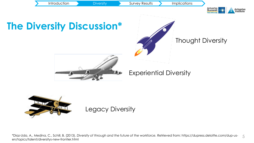



Legacy Diversity

5 \*Diaz-Uda, A., Medina, C., Schill, B. (2013). *Diversity of through and the future of the workforce.* Retrieved from: https://dupress.deloitte.com/dup-usen/topics/talent/diversitys-new-frontier.html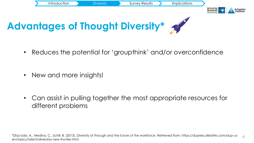

• Reduces the potential for 'groupthink' and/or overconfidence

• New and more insights!

• Can assist in pulling together the most appropriate resources for different problems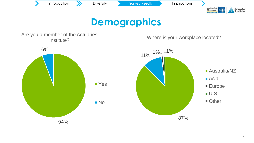

#### **Demographics**

Are you a member of the Actuaries Institute?

Where is your workplace located?

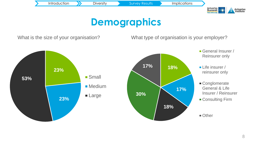

### **Demographics**

What is the size of your organisation?

What type of organisation is your employer?

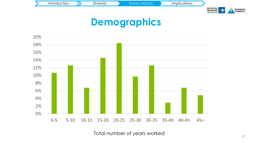



### **Demographics**



Total number of years worked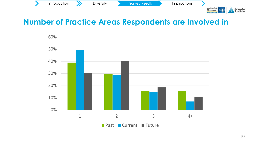

#### **Number of Practice Areas Respondents are Involved in**

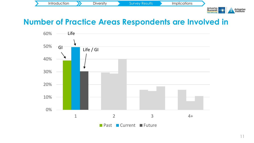

#### **Number of Practice Areas Respondents are Involved in**

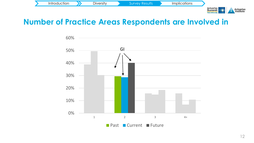

#### **Number of Practice Areas Respondents are Involved in**



Think Dift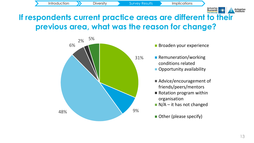

#### **If respondents current practice areas are different to their previous area, what was the reason for change?**



- **Broaden your experience**
- **Remuneration/working** conditions related
	- **Opportunity availability**
	- Advice/encouragement of friends/peers/mentors
	- Rotation program within organisation
	- $N/A$  it has not changed
	- Other (please specify)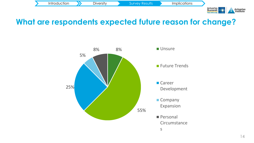

#### **What are respondents expected future reason for change?**

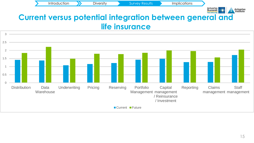

#### **Current versus potential integration between general and life insurance**

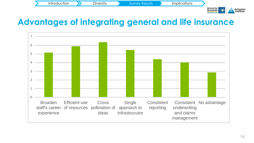Introduction >>>>> Diversity >> Survey Results >> Implications



#### **Advantages of integrating general and life insurance**

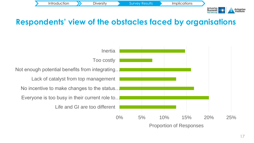

#### **Respondents' view of the obstacles faced by organisations**